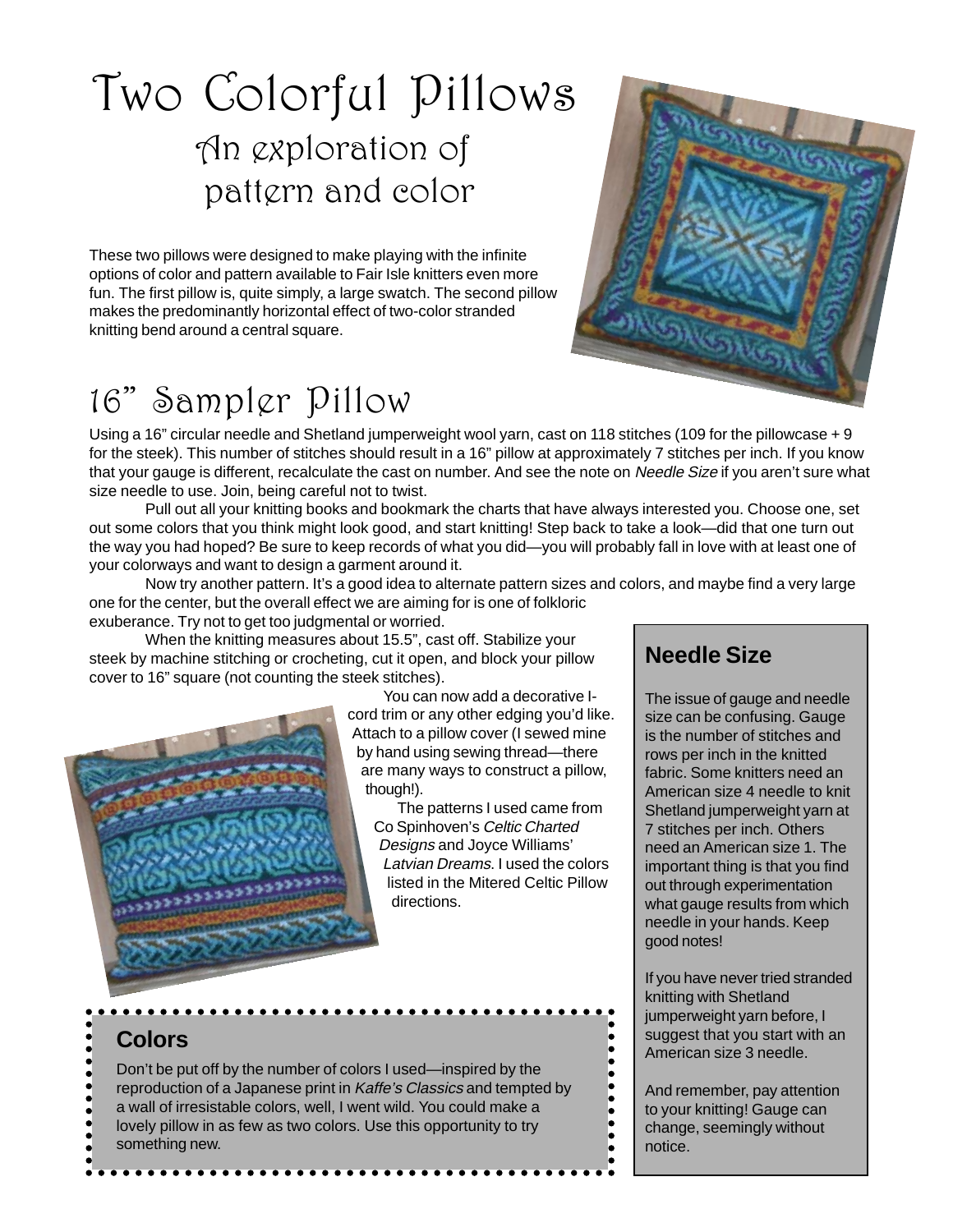# Two Colorful Pillows An exploration of pattern and color

These two pillows were designed to make playing with the infinite options of color and pattern available to Fair Isle knitters even more fun. The first pillow is, quite simply, a large swatch. The second pillow makes the predominantly horizontal effect of two-color stranded knitting bend around a central square.

## 16" Sampler Pillow

Using a 16" circular needle and Shetland jumperweight wool yarn, cast on 118 stitches (109 for the pillowcase + 9 for the steek). This number of stitches should result in a 16" pillow at approximately 7 stitches per inch. If you know that your gauge is different, recalculate the cast on number. And see the note on Needle Size if you aren't sure what size needle to use. Join, being careful not to twist.

Pull out all your knitting books and bookmark the charts that have always interested you. Choose one, set out some colors that you think might look good, and start knitting! Step back to take a look—did that one turn out the way you had hoped? Be sure to keep records of what you did—you will probably fall in love with at least one of your colorways and want to design a garment around it.

Now try another pattern. It's a good idea to alternate pattern sizes and colors, and maybe find a very large one for the center, but the overall effect we are aiming for is one of folkloric exuberance. Try not to get too judgmental or worried.

When the knitting measures about 15.5", cast off. Stabilize your steek by machine stitching or crocheting, cut it open, and block your pillow cover to 16" square (not counting the steek stitches).



You can now add a decorative Icord trim or any other edging you'd like. Attach to a pillow cover (I sewed mine by hand using sewing thread—there are many ways to construct a pillow, though!).

The patterns I used came from Co Spinhoven's Celtic Charted Designs and Joyce Williams' Latvian Dreams. I used the colors listed in the Mitered Celtic Pillow directions.

### **Needle Size**

The issue of gauge and needle size can be confusing. Gauge is the number of stitches and rows per inch in the knitted fabric. Some knitters need an American size 4 needle to knit Shetland jumperweight yarn at 7 stitches per inch. Others need an American size 1. The important thing is that you find out through experimentation what gauge results from which needle in your hands. Keep good notes!

If you have never tried stranded knitting with Shetland jumperweight yarn before, I suggest that you start with an American size 3 needle.

And remember, pay attention to your knitting! Gauge can change, seemingly without notice.

. . . . . . . .

## **Colors**

Don't be put off by the number of colors I used—inspired by the reproduction of a Japanese print in Kaffe's Classics and tempted by a wall of irresistable colors, well, I went wild. You could make a lovely pillow in as few as two colors. Use this opportunity to try something new.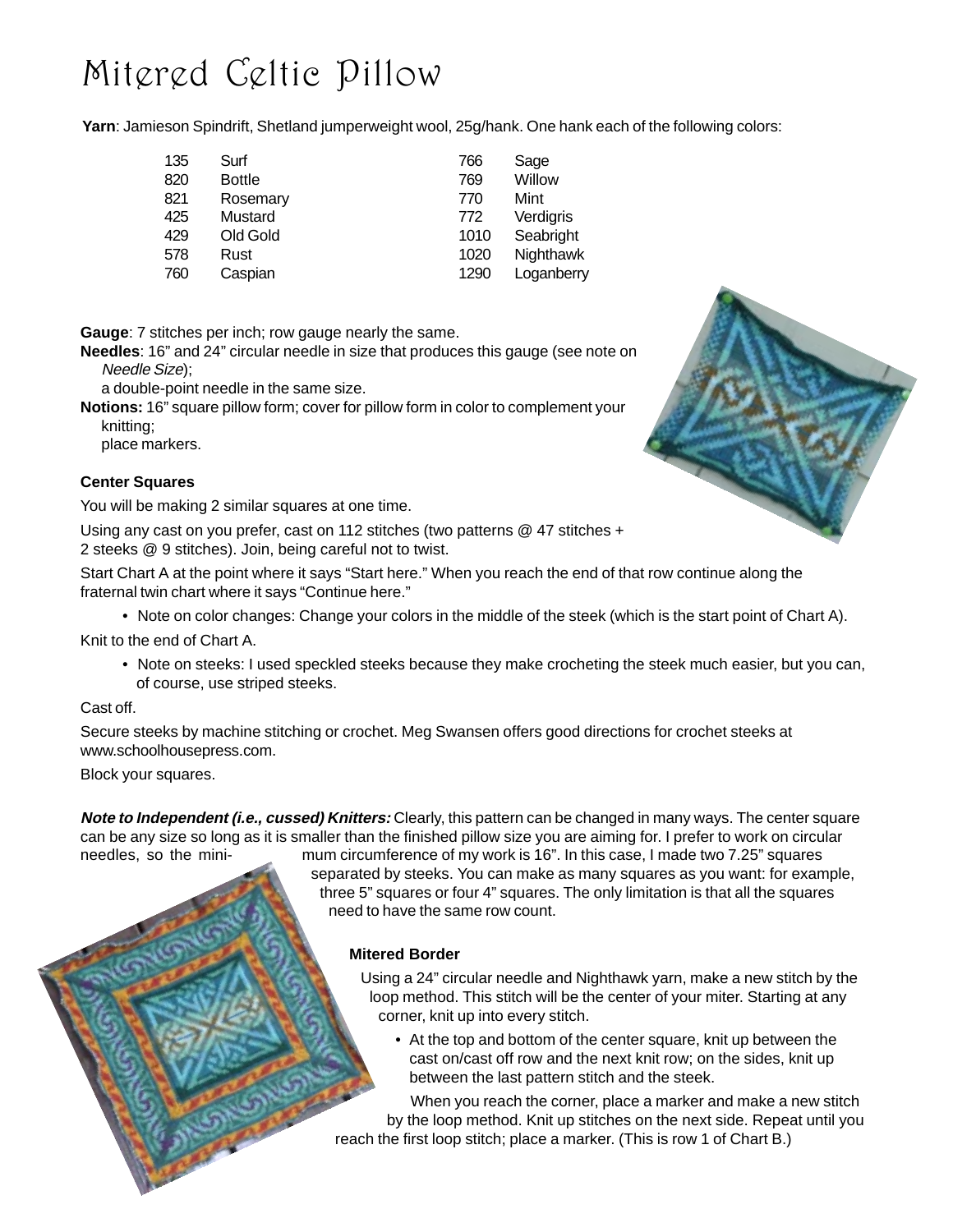## Mitered Celtic Pillow

**Yarn**: Jamieson Spindrift, Shetland jumperweight wool, 25g/hank. One hank each of the following colors:

| 135 | Surf     | 766  | Sage       |
|-----|----------|------|------------|
| 820 | Bottle   | 769  | Willow     |
| 821 | Rosemary | 770  | Mint       |
| 425 | Mustard  | 772  | Verdigris  |
| 429 | Old Gold | 1010 | Seabright  |
| 578 | Rust     | 1020 | Nighthawk  |
| 760 | Caspian  | 1290 | Loganberry |

**Gauge**: 7 stitches per inch; row gauge nearly the same.

**Needles**: 16" and 24" circular needle in size that produces this gauge (see note on Needle Size);

a double-point needle in the same size.

**Notions:** 16" square pillow form; cover for pillow form in color to complement your knitting;

place markers.

#### **Center Squares**

You will be making 2 similar squares at one time.

Using any cast on you prefer, cast on 112 stitches (two patterns @ 47 stitches + 2 steeks @ 9 stitches). Join, being careful not to twist.

Start Chart A at the point where it says "Start here." When you reach the end of that row continue along the fraternal twin chart where it says "Continue here."

• Note on color changes: Change your colors in the middle of the steek (which is the start point of Chart A).

Knit to the end of Chart A.

• Note on steeks: I used speckled steeks because they make crocheting the steek much easier, but you can, of course, use striped steeks.

#### Cast off.

Secure steeks by machine stitching or crochet. Meg Swansen offers good directions for crochet steeks at www.schoolhousepress.com.

Block your squares.

**Note to Independent (i.e., cussed) Knitters:** Clearly, this pattern can be changed in many ways. The center square can be any size so long as it is smaller than the finished pillow size you are aiming for. I prefer to work on circular needles, so the mini- mum circumference of my work is 16". In this case, I made two 7.25" squares

separated by steeks. You can make as many squares as you want: for example, three 5" squares or four 4" squares. The only limitation is that all the squares need to have the same row count.

#### **Mitered Border**

Using a 24" circular needle and Nighthawk yarn, make a new stitch by the loop method. This stitch will be the center of your miter. Starting at any corner, knit up into every stitch.

• At the top and bottom of the center square, knit up between the cast on/cast off row and the next knit row; on the sides, knit up between the last pattern stitch and the steek.

When you reach the corner, place a marker and make a new stitch by the loop method. Knit up stitches on the next side. Repeat until you reach the first loop stitch; place a marker. (This is row 1 of Chart B.)

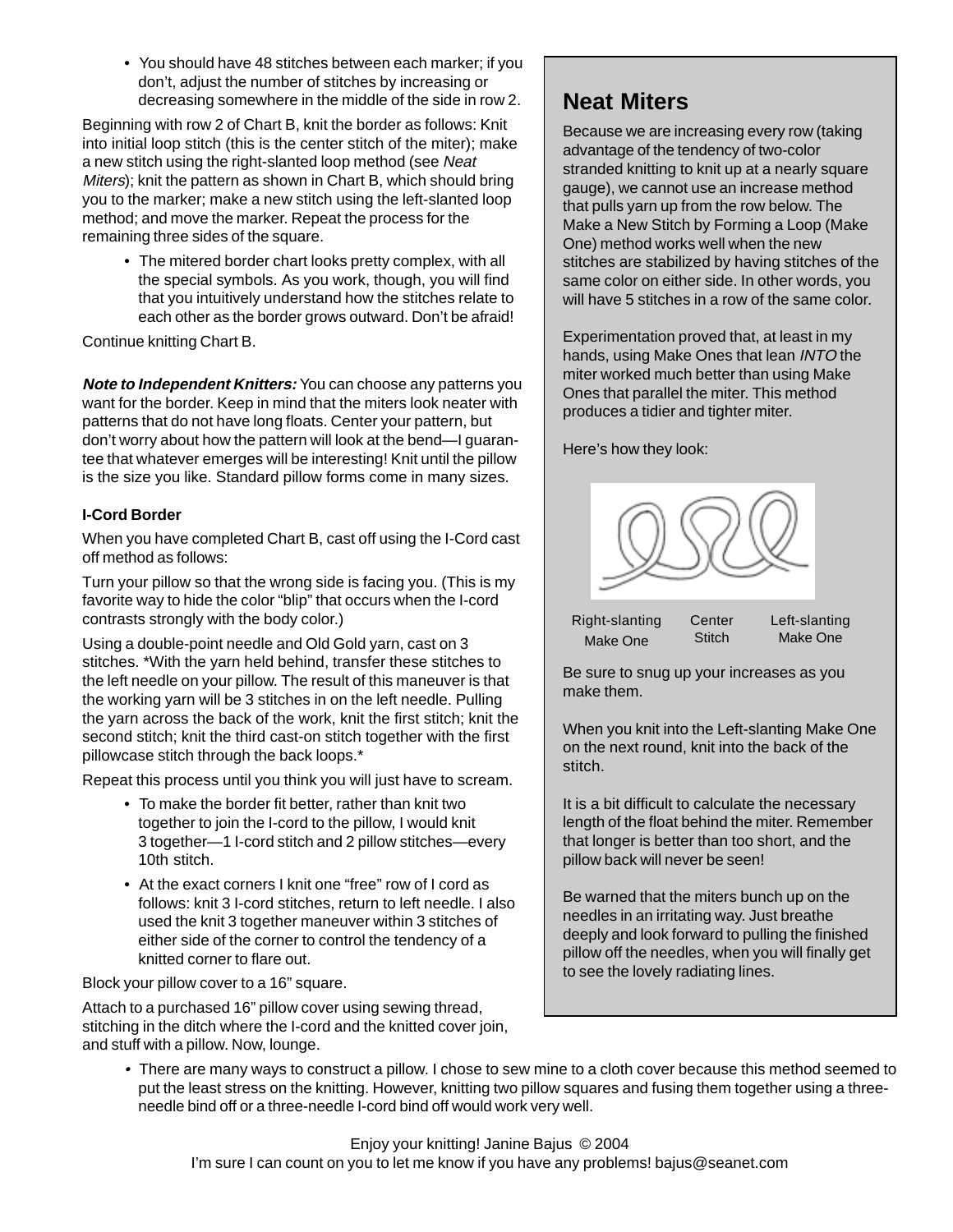• You should have 48 stitches between each marker; if you don't, adjust the number of stitches by increasing or decreasing somewhere in the middle of the side in row 2.

Beginning with row 2 of Chart B, knit the border as follows: Knit into initial loop stitch (this is the center stitch of the miter); make a new stitch using the right-slanted loop method (see Neat Miters); knit the pattern as shown in Chart B, which should bring you to the marker; make a new stitch using the left-slanted loop method; and move the marker. Repeat the process for the remaining three sides of the square.

• The mitered border chart looks pretty complex, with all the special symbols. As you work, though, you will find that you intuitively understand how the stitches relate to each other as the border grows outward. Don't be afraid!

Continue knitting Chart B.

**Note to Independent Knitters:** You can choose any patterns you want for the border. Keep in mind that the miters look neater with patterns that do not have long floats. Center your pattern, but don't worry about how the pattern will look at the bend—I guarantee that whatever emerges will be interesting! Knit until the pillow is the size you like. Standard pillow forms come in many sizes.

#### **I-Cord Border**

When you have completed Chart B, cast off using the I-Cord cast off method as follows:

Turn your pillow so that the wrong side is facing you. (This is my favorite way to hide the color "blip" that occurs when the I-cord contrasts strongly with the body color.)

Using a double-point needle and Old Gold yarn, cast on 3 stitches. \*With the yarn held behind, transfer these stitches to the left needle on your pillow. The result of this maneuver is that the working yarn will be 3 stitches in on the left needle. Pulling the yarn across the back of the work, knit the first stitch; knit the second stitch; knit the third cast-on stitch together with the first pillowcase stitch through the back loops.\*

Repeat this process until you think you will just have to scream.

- To make the border fit better, rather than knit two together to join the I-cord to the pillow, I would knit 3 together—1 I-cord stitch and 2 pillow stitches—every 10th stitch.
- At the exact corners I knit one "free" row of I cord as follows: knit 3 I-cord stitches, return to left needle. I also used the knit 3 together maneuver within 3 stitches of either side of the corner to control the tendency of a knitted corner to flare out.

Block your pillow cover to a 16" square.

Attach to a purchased 16" pillow cover using sewing thread, stitching in the ditch where the I-cord and the knitted cover join, and stuff with a pillow. Now, lounge.

### **Neat Miters**

Because we are increasing every row (taking advantage of the tendency of two-color stranded knitting to knit up at a nearly square gauge), we cannot use an increase method that pulls yarn up from the row below. The Make a New Stitch by Forming a Loop (Make One) method works well when the new stitches are stabilized by having stitches of the same color on either side. In other words, you will have 5 stitches in a row of the same color.

Experimentation proved that, at least in my hands, using Make Ones that lean INTO the miter worked much better than using Make Ones that parallel the miter. This method produces a tidier and tighter miter.

Here's how they look:



Right-slanting Make One **Center Stitch** 

Left-slanting Make One

Be sure to snug up your increases as you make them.

When you knit into the Left-slanting Make One on the next round, knit into the back of the stitch.

It is a bit difficult to calculate the necessary length of the float behind the miter. Remember that longer is better than too short, and the pillow back will never be seen!

Be warned that the miters bunch up on the needles in an irritating way. Just breathe deeply and look forward to pulling the finished pillow off the needles, when you will finally get to see the lovely radiating lines.

• There are many ways to construct a pillow. I chose to sew mine to a cloth cover because this method seemed to put the least stress on the knitting. However, knitting two pillow squares and fusing them together using a threeneedle bind off or a three-needle I-cord bind off would work very well.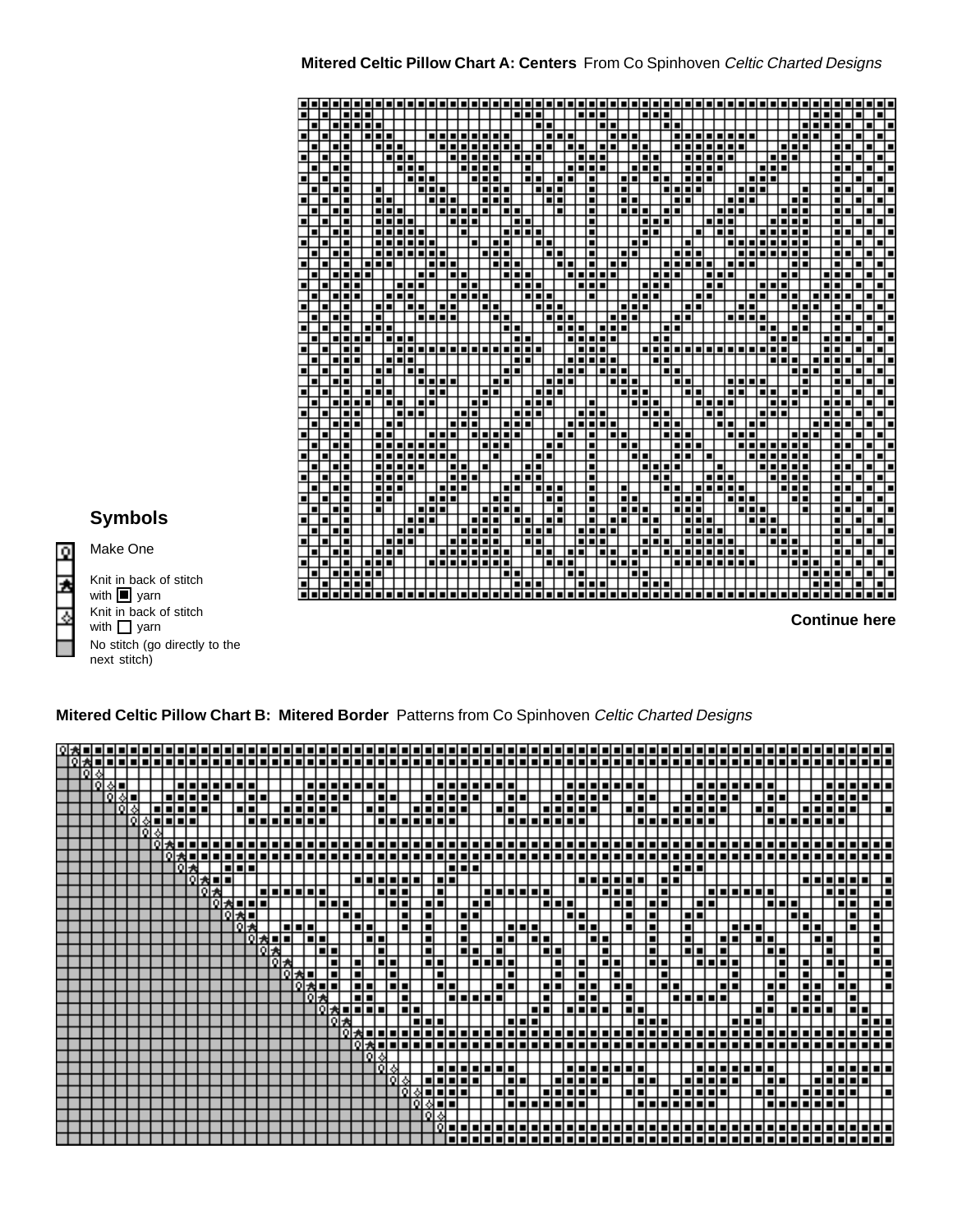#### **Mitered Celtic Pillow Chart A: Centers** From Co Spinhoven Celtic Charted Designs



**Symbols**

Make One

. . . . . ,,,,, . . . . . **Contract Contract Contract Contract** 

Knit in back of stitch with  $\blacksquare$  yarn Knit in back of stitch with  $\Box$  yarn No stitch (go directly to the next stitch)

#### **Mitered Celtic Pillow Chart B: Mitered Border** Patterns from Co Spinhoven Celtic Charted Designs

| lolak |  |    |  |  |                   |  |     |    |    |         |   |  |           |  |               |      |           |                |                |    |      |      |            |   |               |   |                |        |        |                |             |  |              |  |                    |      |        |          |         |            |      |        |          |                       |        |        |        |     |             |     |                |                  |          |     |
|-------|--|----|--|--|-------------------|--|-----|----|----|---------|---|--|-----------|--|---------------|------|-----------|----------------|----------------|----|------|------|------------|---|---------------|---|----------------|--------|--------|----------------|-------------|--|--------------|--|--------------------|------|--------|----------|---------|------------|------|--------|----------|-----------------------|--------|--------|--------|-----|-------------|-----|----------------|------------------|----------|-----|
|       |  |    |  |  |                   |  |     |    |    |         |   |  |           |  |               |      |           |                |                |    |      |      |            |   |               |   |                |        |        |                |             |  |              |  |                    |      |        |          |         |            |      |        |          |                       |        |        |        |     |             |     |                | lalalala         |          |     |
|       |  |    |  |  |                   |  |     |    |    |         |   |  |           |  |               |      |           |                |                |    |      |      |            |   |               |   |                |        |        |                |             |  |              |  |                    |      |        |          |         |            |      |        |          |                       |        |        |        |     |             |     |                |                  |          |     |
|       |  | ۵l |  |  | lai ai ai ai ai a |  |     |    |    |         |   |  |           |  | alalalalalala |      |           |                |                |    |      |      |            |   | a da da da da |   |                |        |        |                |             |  |              |  | i vizi vizi vizi v |      |        |          |         |            |      |        |          | i vi vi vi vi vi vi v |        |        |        |     |             |     |                | <b>eletelete</b> |          |     |
|       |  |    |  |  |                   |  |     |    |    | l si s  |   |  |           |  |               |      |           | ۰۰.            |                |    |      | n La |            |   |               |   |                |        | l si s |                |             |  |              |  |                    |      |        | al a     |         |            | ni v |        |          |                       |        |        | l al a |     |             |     |                | alalalalal       |          |     |
|       |  |    |  |  |                   |  |     |    |    | اد اد ا |   |  | alalatata |  |               |      | al a      |                |                |    |      |      | alalalalal |   |               |   |                | l dial |        |                |             |  |              |  |                    | ▪    |        |          |         |            |      |        |          |                       | п      |        |        |     |             |     | la interior    |                  |          | ┲   |
|       |  |    |  |  |                   |  |     |    |    |         |   |  | alalah s  |  |               |      |           |                | ш              |    | n de |      |            |   |               |   |                | -      |        |                |             |  |              |  |                    |      |        |          |         | l vivi viv |      |        |          |                       |        | -      |        |     | alalalala e |     |                |                  |          |     |
|       |  |    |  |  |                   |  |     |    |    |         |   |  |           |  |               |      |           |                |                |    |      |      |            |   |               |   |                |        |        |                |             |  |              |  |                    |      |        |          |         |            |      |        |          |                       |        |        |        |     |             |     |                |                  |          |     |
|       |  |    |  |  | 01:N u L u L      |  |     |    |    |         |   |  |           |  |               |      |           |                |                |    |      |      |            |   |               |   |                |        |        |                |             |  |              |  |                    |      |        |          |         |            |      |        |          |                       |        |        |        |     |             |     |                |                  | alala    |     |
|       |  |    |  |  |                   |  |     |    |    |         |   |  |           |  |               |      |           |                |                |    |      |      |            |   |               |   |                |        |        |                |             |  |              |  |                    |      |        |          |         |            |      |        |          |                       |        |        |        |     |             |     |                | चननगनन           |          |     |
|       |  |    |  |  |                   |  |     |    |    | n de    |   |  |           |  |               |      |           |                |                |    |      |      |            |   |               |   |                |        |        |                |             |  |              |  |                    |      |        |          |         | al al s    |      |        |          |                       |        |        |        |     |             |     |                |                  |          |     |
|       |  |    |  |  | о                 |  | 大日日 |    |    |         |   |  |           |  |               |      | alala     |                |                |    |      |      | اد اه ا    |   |               |   |                |        |        |                |             |  |              |  | 131333             |      |        |          | اد اد ا |            |      |        |          |                       |        |        |        |     |             |     |                | alalalalalal     |          | ┲   |
|       |  |    |  |  |                   |  |     |    |    |         |   |  |           |  |               |      |           | $\blacksquare$ |                |    |      |      |            |   |               | п | ш              | П      | ╺      |                |             |  |              |  | al al              |      |        |          |         |            |      |        |          | i si si si si s       |        |        |        |     |             |     | alah s         |                  |          | Ħ   |
|       |  |    |  |  |                   |  |     |    |    | ▬       |   |  |           |  |               |      |           |                |                |    |      | ni v |            |   |               |   |                |        |        |                |             |  |              |  |                    |      |        | ■        |         |            |      | l al a |          |                       |        | п      |        |     |             |     |                |                  |          | n.  |
|       |  |    |  |  |                   |  |     | οι |    |         |   |  |           |  |               |      |           |                |                |    |      |      |            | ш |               |   |                |        |        |                |             |  | -1           |  |                    |      |        |          |         |            | n r  |        |          |                       |        |        |        | . . |             |     |                |                  | П        |     |
|       |  |    |  |  |                   |  |     |    | ΩI |         |   |  | al al a   |  |               | пп   |           |                | $\blacksquare$ |    |      |      |            |   |               |   |                |        |        |                |             |  |              |  |                    |      |        | п        |         |            | п    |        |          | alah s                |        |        |        |     | al a        |     | ╺              |                  | П        |     |
|       |  |    |  |  |                   |  |     |    |    | ο       |   |  |           |  |               |      | ni v      |                |                |    |      |      |            |   |               |   | ▬              |        |        |                |             |  |              |  |                    |      |        |          |         |            | п    |        |          |                       | ■      |        |        |     |             | a p |                |                  | п        |     |
|       |  |    |  |  |                   |  |     |    |    |         | ο |  |           |  |               |      |           |                |                |    |      | П    |            |   | nп            |   | ш              |        |        |                |             |  |              |  |                    |      |        | ▪        |         |            | ni n |        |          |                       |        |        | al a   |     |             |     |                |                  | ਜ        |     |
|       |  |    |  |  |                   |  |     |    |    |         |   |  |           |  |               |      |           |                |                |    |      | пг   |            |   |               |   |                |        |        |                |             |  |              |  |                    |      |        | ▬        |         |            |      | п      |          |                       |        |        |        |     |             |     |                |                  |          | TT. |
|       |  |    |  |  |                   |  |     |    |    |         |   |  |           |  |               |      |           |                |                |    |      |      |            |   |               |   |                |        |        |                |             |  |              |  |                    |      |        |          |         |            |      |        |          |                       |        |        |        |     |             |     |                |                  |          | l s |
|       |  |    |  |  |                   |  |     |    |    |         |   |  |           |  |               |      |           |                | ni s           |    |      |      | l al a     |   |               |   |                | al a   |        |                |             |  |              |  |                    | al a |        |          | -1      |            |      |        |          |                       |        |        |        |     |             |     |                |                  |          | ┲   |
|       |  |    |  |  |                   |  |     |    |    |         |   |  |           |  |               | د اه |           |                | ■              |    |      |      |            |   | lalalala      |   | $\blacksquare$ |        |        |                |             |  |              |  |                    | ▬    |        |          |         |            |      |        | alalalah |                       |        |        |        |     |             |     |                |                  |          |     |
|       |  |    |  |  |                   |  |     |    |    |         |   |  |           |  |               |      | l al al a |                |                | пг |      |      |            |   |               |   |                |        |        | $\blacksquare$ |             |  | و او او او ا |  |                    |      | l al a |          |         |            |      |        |          |                       | ▬      |        |        |     | alalala     |     |                | talal            |          |     |
|       |  |    |  |  |                   |  |     |    |    |         |   |  |           |  |               |      |           |                |                |    |      |      |            |   |               |   |                |        |        |                |             |  |              |  |                    |      |        |          |         |            |      |        |          |                       |        |        |        |     |             |     |                |                  | ololo    |     |
|       |  |    |  |  |                   |  |     |    |    |         |   |  |           |  |               |      |           |                |                |    |      |      |            |   |               |   |                |        |        |                |             |  |              |  |                    |      |        |          |         |            |      |        |          |                       |        |        |        |     |             |     |                |                  |          | नन  |
|       |  |    |  |  |                   |  |     |    |    |         |   |  |           |  |               |      |           |                |                |    |      |      |            |   |               |   |                |        |        |                |             |  |              |  |                    |      |        |          |         |            |      |        |          |                       |        |        |        |     |             |     |                |                  | aa .     |     |
|       |  |    |  |  |                   |  |     |    |    |         |   |  |           |  |               |      |           |                |                |    |      |      |            |   |               |   |                |        |        |                |             |  |              |  |                    |      |        |          |         |            |      |        |          |                       |        |        |        |     |             |     |                |                  |          |     |
|       |  |    |  |  |                   |  |     |    |    |         |   |  |           |  |               |      |           |                |                |    |      |      |            |   |               |   |                |        |        |                |             |  |              |  |                    |      |        |          |         |            |      |        |          |                       |        |        |        |     |             |     |                |                  | al al a  |     |
|       |  |    |  |  |                   |  |     |    |    |         |   |  |           |  |               |      |           |                |                |    |      |      |            |   |               |   |                | п      |        |                |             |  |              |  |                    |      | ▬      |          |         |            |      |        |          |                       |        | l al a |        |     |             |     |                |                  |          |     |
|       |  |    |  |  |                   |  |     |    |    |         |   |  |           |  |               |      |           |                |                |    |      |      |            |   |               |   |                | пп     |        |                |             |  |              |  |                    |      | ol o   |          |         |            |      |        |          |                       | l al a |        |        |     |             |     | اه اه اه اه ای |                  |          | ъ   |
|       |  |    |  |  |                   |  |     |    |    |         |   |  |           |  |               |      |           |                |                |    |      |      |            |   |               |   |                |        |        |                | alahalahata |  |              |  |                    |      |        | -------- |         |            |      |        |          |                       |        |        |        |     | alalalalah  |     |                |                  |          |     |
|       |  |    |  |  |                   |  |     |    |    |         |   |  |           |  |               |      |           |                |                |    |      |      |            |   |               |   |                |        |        |                |             |  |              |  |                    |      |        |          |         |            |      |        |          |                       |        |        |        |     |             |     |                |                  |          |     |
|       |  |    |  |  |                   |  |     |    |    |         |   |  |           |  |               |      |           |                |                |    |      |      |            |   |               |   |                |        |        |                |             |  |              |  |                    |      |        |          |         |            |      |        |          |                       |        |        |        |     |             |     |                |                  |          |     |
|       |  |    |  |  |                   |  |     |    |    |         |   |  |           |  |               |      |           |                |                |    |      |      |            |   |               |   |                |        |        |                |             |  |              |  |                    |      |        |          |         |            |      |        |          |                       |        |        |        |     |             |     |                |                  | 19 J J J |     |
|       |  |    |  |  |                   |  |     |    |    |         |   |  |           |  |               |      |           |                |                |    |      |      |            |   |               |   |                |        |        |                |             |  |              |  |                    |      |        |          |         |            |      |        |          |                       |        |        |        |     |             |     |                | 00000            |          |     |